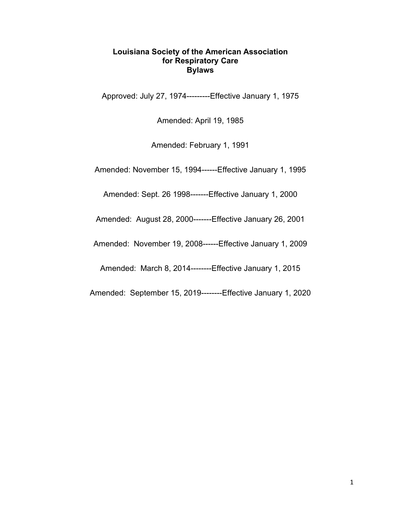#### **Louisiana Society of the American Association for Respiratory Care Bylaws**

Approved: July 27, 1974---------Effective January 1, 1975

Amended: April 19, 1985

Amended: February 1, 1991

Amended: November 15, 1994------Effective January 1, 1995

Amended: Sept. 26 1998-------Effective January 1, 2000

Amended: August 28, 2000-------Effective January 26, 2001

Amended: November 19, 2008------Effective January 1, 2009

Amended: March 8, 2014--------Effective January 1, 2015

Amended: September 15, 2019--------Effective January 1, 2020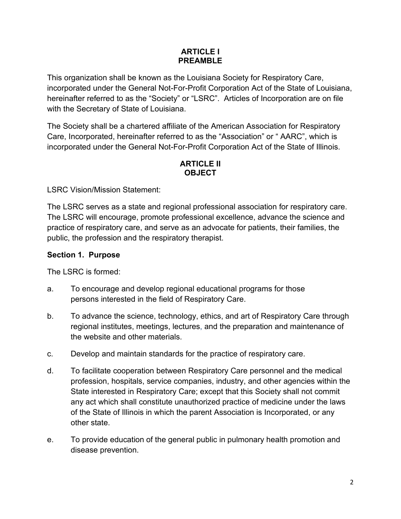### **ARTICLE I PREAMBLE**

This organization shall be known as the Louisiana Society for Respiratory Care, incorporated under the General Not-For-Profit Corporation Act of the State of Louisiana, hereinafter referred to as the "Society" or "LSRC". Articles of Incorporation are on file with the Secretary of State of Louisiana.

The Society shall be a chartered affiliate of the American Association for Respiratory Care, Incorporated, hereinafter referred to as the "Association" or " AARC", which is incorporated under the General Not-For-Profit Corporation Act of the State of Illinois.

## **ARTICLE II OBJECT**

LSRC Vision/Mission Statement:

The LSRC serves as a state and regional professional association for respiratory care. The LSRC will encourage, promote professional excellence, advance the science and practice of respiratory care, and serve as an advocate for patients, their families, the public, the profession and the respiratory therapist.

### **Section 1. Purpose**

The LSRC is formed:

- a. To encourage and develop regional educational programs for those persons interested in the field of Respiratory Care.
- b. To advance the science, technology, ethics, and art of Respiratory Care through regional institutes, meetings, lectures, and the preparation and maintenance of the website and other materials.
- c. Develop and maintain standards for the practice of respiratory care.
- d. To facilitate cooperation between Respiratory Care personnel and the medical profession, hospitals, service companies, industry, and other agencies within the State interested in Respiratory Care; except that this Society shall not commit any act which shall constitute unauthorized practice of medicine under the laws of the State of Illinois in which the parent Association is Incorporated, or any other state.
- e. To provide education of the general public in pulmonary health promotion and disease prevention.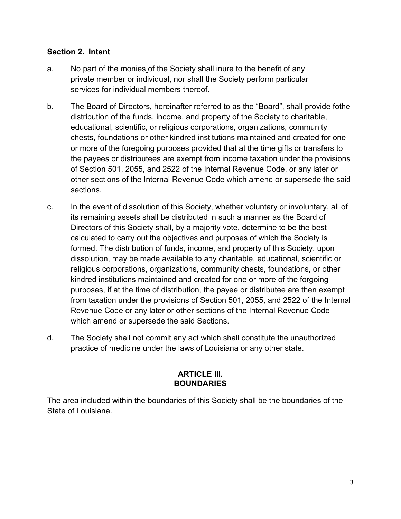### **Section 2. Intent**

- a. No part of the monies of the Society shall inure to the benefit of any private member or individual, nor shall the Society perform particular services for individual members thereof.
- b. The Board of Directors, hereinafter referred to as the "Board", shall provide fothe distribution of the funds, income, and property of the Society to charitable, educational, scientific, or religious corporations, organizations, community chests, foundations or other kindred institutions maintained and created for one or more of the foregoing purposes provided that at the time gifts or transfers to the payees or distributees are exempt from income taxation under the provisions of Section 501, 2055, and 2522 of the Internal Revenue Code, or any later or other sections of the Internal Revenue Code which amend or supersede the said sections.
- c. In the event of dissolution of this Society, whether voluntary or involuntary, all of its remaining assets shall be distributed in such a manner as the Board of Directors of this Society shall, by a majority vote, determine to be the best calculated to carry out the objectives and purposes of which the Society is formed. The distribution of funds, income, and property of this Society, upon dissolution, may be made available to any charitable, educational, scientific or religious corporations, organizations, community chests, foundations, or other kindred institutions maintained and created for one or more of the forgoing purposes, if at the time of distribution, the payee or distributee are then exempt from taxation under the provisions of Section 501, 2055, and 2522 of the Internal Revenue Code or any later or other sections of the Internal Revenue Code which amend or supersede the said Sections.
- d. The Society shall not commit any act which shall constitute the unauthorized practice of medicine under the laws of Louisiana or any other state.

#### **ARTICLE III. BOUNDARIES**

The area included within the boundaries of this Society shall be the boundaries of the State of Louisiana.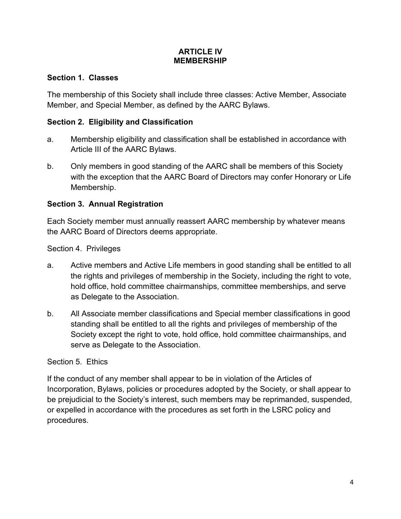#### **ARTICLE IV MEMBERSHIP**

### **Section 1. Classes**

The membership of this Society shall include three classes: Active Member, Associate Member, and Special Member, as defined by the AARC Bylaws.

### **Section 2. Eligibility and Classification**

- a. Membership eligibility and classification shall be established in accordance with Article III of the AARC Bylaws.
- b. Only members in good standing of the AARC shall be members of this Society with the exception that the AARC Board of Directors may confer Honorary or Life Membership.

### **Section 3. Annual Registration**

Each Society member must annually reassert AARC membership by whatever means the AARC Board of Directors deems appropriate.

Section 4. Privileges

- a. Active members and Active Life members in good standing shall be entitled to all the rights and privileges of membership in the Society, including the right to vote, hold office, hold committee chairmanships, committee memberships, and serve as Delegate to the Association.
- b. All Associate member classifications and Special member classifications in good standing shall be entitled to all the rights and privileges of membership of the Society except the right to vote, hold office, hold committee chairmanships, and serve as Delegate to the Association.

### Section 5. Ethics

If the conduct of any member shall appear to be in violation of the Articles of Incorporation, Bylaws, policies or procedures adopted by the Society, or shall appear to be prejudicial to the Society's interest, such members may be reprimanded, suspended, or expelled in accordance with the procedures as set forth in the LSRC policy and procedures.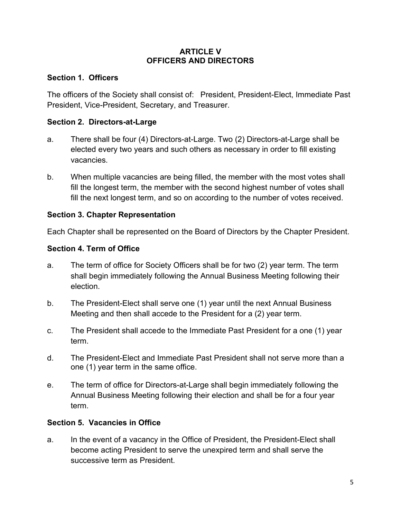#### **ARTICLE V OFFICERS AND DIRECTORS**

### **Section 1. Officers**

The officers of the Society shall consist of: President, President-Elect, Immediate Past President, Vice-President, Secretary, and Treasurer.

### **Section 2. Directors-at-Large**

- a. There shall be four (4) Directors-at-Large. Two (2) Directors-at-Large shall be elected every two years and such others as necessary in order to fill existing vacancies.
- b. When multiple vacancies are being filled, the member with the most votes shall fill the longest term, the member with the second highest number of votes shall fill the next longest term, and so on according to the number of votes received.

### **Section 3. Chapter Representation**

Each Chapter shall be represented on the Board of Directors by the Chapter President.

### **Section 4. Term of Office**

- a. The term of office for Society Officers shall be for two (2) year term. The term shall begin immediately following the Annual Business Meeting following their election.
- b. The President-Elect shall serve one (1) year until the next Annual Business Meeting and then shall accede to the President for a (2) year term.
- c. The President shall accede to the Immediate Past President for a one (1) year term.
- d. The President-Elect and Immediate Past President shall not serve more than a one (1) year term in the same office.
- e. The term of office for Directors-at-Large shall begin immediately following the Annual Business Meeting following their election and shall be for a four year term.

## **Section 5. Vacancies in Office**

a. In the event of a vacancy in the Office of President, the President-Elect shall become acting President to serve the unexpired term and shall serve the successive term as President.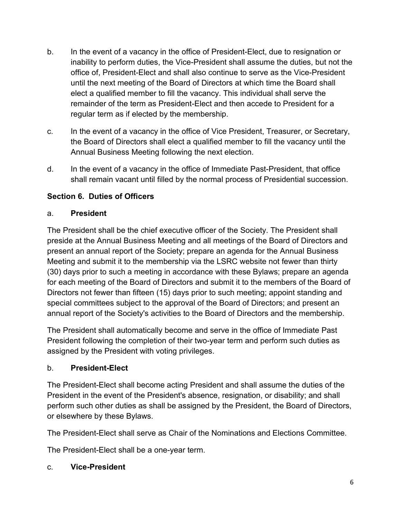- b. In the event of a vacancy in the office of President-Elect, due to resignation or inability to perform duties, the Vice-President shall assume the duties, but not the office of, President-Elect and shall also continue to serve as the Vice-President until the next meeting of the Board of Directors at which time the Board shall elect a qualified member to fill the vacancy. This individual shall serve the remainder of the term as President-Elect and then accede to President for a regular term as if elected by the membership.
- c. In the event of a vacancy in the office of Vice President, Treasurer, or Secretary, the Board of Directors shall elect a qualified member to fill the vacancy until the Annual Business Meeting following the next election.
- d. In the event of a vacancy in the office of Immediate Past-President, that office shall remain vacant until filled by the normal process of Presidential succession.

## **Section 6. Duties of Officers**

### a. **President**

The President shall be the chief executive officer of the Society. The President shall preside at the Annual Business Meeting and all meetings of the Board of Directors and present an annual report of the Society; prepare an agenda for the Annual Business Meeting and submit it to the membership via the LSRC website not fewer than thirty (30) days prior to such a meeting in accordance with these Bylaws; prepare an agenda for each meeting of the Board of Directors and submit it to the members of the Board of Directors not fewer than fifteen (15) days prior to such meeting; appoint standing and special committees subject to the approval of the Board of Directors; and present an annual report of the Society's activities to the Board of Directors and the membership.

The President shall automatically become and serve in the office of Immediate Past President following the completion of their two-year term and perform such duties as assigned by the President with voting privileges.

### b. **President-Elect**

The President-Elect shall become acting President and shall assume the duties of the President in the event of the President's absence, resignation, or disability; and shall perform such other duties as shall be assigned by the President, the Board of Directors, or elsewhere by these Bylaws.

The President-Elect shall serve as Chair of the Nominations and Elections Committee.

The President-Elect shall be a one-year term.

### c. **Vice-President**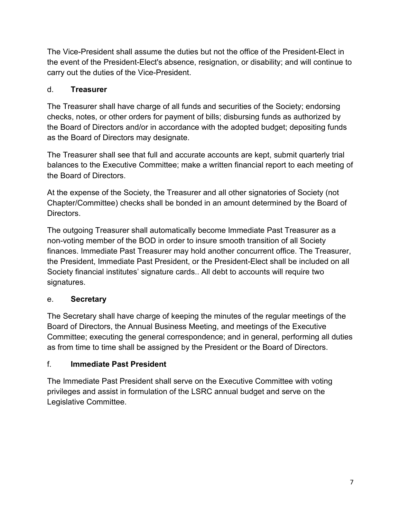The Vice-President shall assume the duties but not the office of the President-Elect in the event of the President-Elect's absence, resignation, or disability; and will continue to carry out the duties of the Vice-President.

# d. **Treasurer**

The Treasurer shall have charge of all funds and securities of the Society; endorsing checks, notes, or other orders for payment of bills; disbursing funds as authorized by the Board of Directors and/or in accordance with the adopted budget; depositing funds as the Board of Directors may designate.

The Treasurer shall see that full and accurate accounts are kept, submit quarterly trial balances to the Executive Committee; make a written financial report to each meeting of the Board of Directors.

At the expense of the Society, the Treasurer and all other signatories of Society (not Chapter/Committee) checks shall be bonded in an amount determined by the Board of Directors.

The outgoing Treasurer shall automatically become Immediate Past Treasurer as a non-voting member of the BOD in order to insure smooth transition of all Society finances. Immediate Past Treasurer may hold another concurrent office. The Treasurer, the President, Immediate Past President, or the President-Elect shall be included on all Society financial institutes' signature cards.. All debt to accounts will require two signatures.

# e. **Secretary**

The Secretary shall have charge of keeping the minutes of the regular meetings of the Board of Directors, the Annual Business Meeting, and meetings of the Executive Committee; executing the general correspondence; and in general, performing all duties as from time to time shall be assigned by the President or the Board of Directors.

# f. **Immediate Past President**

The Immediate Past President shall serve on the Executive Committee with voting privileges and assist in formulation of the LSRC annual budget and serve on the Legislative Committee.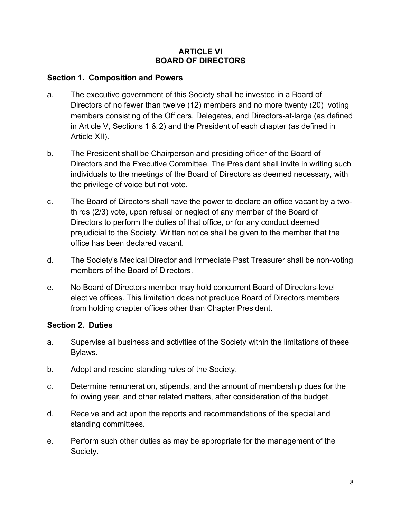#### **ARTICLE VI BOARD OF DIRECTORS**

#### **Section 1. Composition and Powers**

- a. The executive government of this Society shall be invested in a Board of Directors of no fewer than twelve (12) members and no more twenty (20) voting members consisting of the Officers, Delegates, and Directors-at-large (as defined in Article V, Sections 1 & 2) and the President of each chapter (as defined in Article XII).
- b. The President shall be Chairperson and presiding officer of the Board of Directors and the Executive Committee. The President shall invite in writing such individuals to the meetings of the Board of Directors as deemed necessary, with the privilege of voice but not vote.
- c. The Board of Directors shall have the power to declare an office vacant by a twothirds (2/3) vote, upon refusal or neglect of any member of the Board of Directors to perform the duties of that office, or for any conduct deemed prejudicial to the Society. Written notice shall be given to the member that the office has been declared vacant.
- d. The Society's Medical Director and Immediate Past Treasurer shall be non-voting members of the Board of Directors.
- e. No Board of Directors member may hold concurrent Board of Directors-level elective offices. This limitation does not preclude Board of Directors members from holding chapter offices other than Chapter President.

#### **Section 2. Duties**

- a. Supervise all business and activities of the Society within the limitations of these Bylaws.
- b. Adopt and rescind standing rules of the Society.
- c. Determine remuneration, stipends, and the amount of membership dues for the following year, and other related matters, after consideration of the budget.
- d. Receive and act upon the reports and recommendations of the special and standing committees.
- e. Perform such other duties as may be appropriate for the management of the Society.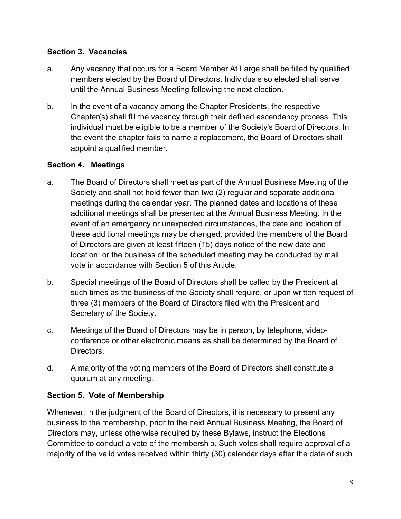### **Section 3. Vacancies**

- a. Any vacancy that occurs for a Board Member At Large shall be filled by qualified members elected by the Board of Directors. Individuals so elected shall serve until the Annual Business Meeting following the next election.
- b. In the event of a vacancy among the Chapter Presidents, the respective Chapter(s) shall fill the vacancy through their defined ascendancy process. This individual must be eligible to be a member of the Society's Board of Directors. In the event the chapter fails to name a replacement, the Board of Directors shall appoint a qualified member.

## **Section 4. Meetings**

- a. The Board of Directors shall meet as part of the Annual Business Meeting of the Society and shall not hold fewer than two (2) regular and separate additional meetings during the calendar year. The planned dates and locations of these additional meetings shall be presented at the Annual Business Meeting. In the event of an emergency or unexpected circumstances, the date and location of these additional meetings may be changed, provided the members of the Board of Directors are given at least fifteen (15) days notice of the new date and location; or the business of the scheduled meeting may be conducted by mail vote in accordance with Section 5 of this Article.
- b. Special meetings of the Board of Directors shall be called by the President at such times as the business of the Society shall require, or upon written request of three (3) members of the Board of Directors filed with the President and Secretary of the Society.
- c. Meetings of the Board of Directors may be in person, by telephone, videoconference or other electronic means as shall be determined by the Board of Directors.
- d. A majority of the voting members of the Board of Directors shall constitute a quorum at any meeting.

## **Section 5. Vote of Membership**

Whenever, in the judgment of the Board of Directors, it is necessary to present any business to the membership, prior to the next Annual Business Meeting, the Board of Directors may, unless otherwise required by these Bylaws, instruct the Elections Committee to conduct a vote of the membership. Such votes shall require approval of a majority of the valid votes received within thirty (30) calendar days after the date of such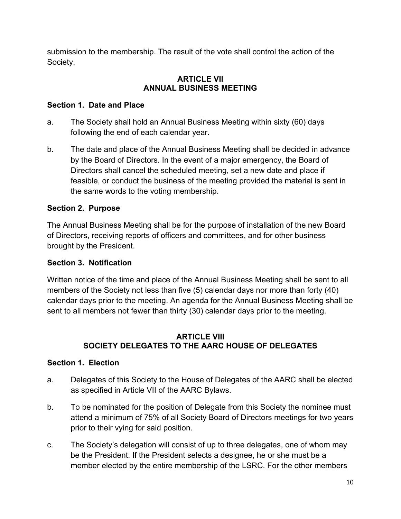submission to the membership. The result of the vote shall control the action of the Society.

### **ARTICLE VII ANNUAL BUSINESS MEETING**

### **Section 1. Date and Place**

- a. The Society shall hold an Annual Business Meeting within sixty (60) days following the end of each calendar year.
- b. The date and place of the Annual Business Meeting shall be decided in advance by the Board of Directors. In the event of a major emergency, the Board of Directors shall cancel the scheduled meeting, set a new date and place if feasible, or conduct the business of the meeting provided the material is sent in the same words to the voting membership.

## **Section 2. Purpose**

The Annual Business Meeting shall be for the purpose of installation of the new Board of Directors, receiving reports of officers and committees, and for other business brought by the President.

## **Section 3. Notification**

Written notice of the time and place of the Annual Business Meeting shall be sent to all members of the Society not less than five (5) calendar days nor more than forty (40) calendar days prior to the meeting. An agenda for the Annual Business Meeting shall be sent to all members not fewer than thirty (30) calendar days prior to the meeting.

#### **ARTICLE VIII SOCIETY DELEGATES TO THE AARC HOUSE OF DELEGATES**

### **Section 1. Election**

- a. Delegates of this Society to the House of Delegates of the AARC shall be elected as specified in Article VII of the AARC Bylaws.
- b. To be nominated for the position of Delegate from this Society the nominee must attend a minimum of 75% of all Society Board of Directors meetings for two years prior to their vying for said position.
- c. The Society's delegation will consist of up to three delegates, one of whom may be the President. If the President selects a designee, he or she must be a member elected by the entire membership of the LSRC. For the other members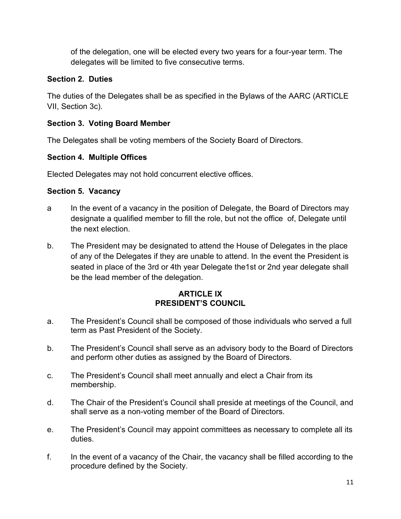of the delegation, one will be elected every two years for a four-year term. The delegates will be limited to five consecutive terms.

# **Section 2. Duties**

The duties of the Delegates shall be as specified in the Bylaws of the AARC (ARTICLE VII, Section 3c).

# **Section 3. Voting Board Member**

The Delegates shall be voting members of the Society Board of Directors.

## **Section 4. Multiple Offices**

Elected Delegates may not hold concurrent elective offices.

# **Section 5. Vacancy**

- a In the event of a vacancy in the position of Delegate, the Board of Directors may designate a qualified member to fill the role, but not the office of, Delegate until the next election.
- b. The President may be designated to attend the House of Delegates in the place of any of the Delegates if they are unable to attend. In the event the President is seated in place of the 3rd or 4th year Delegate the1st or 2nd year delegate shall be the lead member of the delegation.

### **ARTICLE IX PRESIDENT'S COUNCIL**

- a. The President's Council shall be composed of those individuals who served a full term as Past President of the Society.
- b. The President's Council shall serve as an advisory body to the Board of Directors and perform other duties as assigned by the Board of Directors.
- c. The President's Council shall meet annually and elect a Chair from its membership.
- d. The Chair of the President's Council shall preside at meetings of the Council, and shall serve as a non-voting member of the Board of Directors.
- e. The President's Council may appoint committees as necessary to complete all its duties.
- f. In the event of a vacancy of the Chair, the vacancy shall be filled according to the procedure defined by the Society.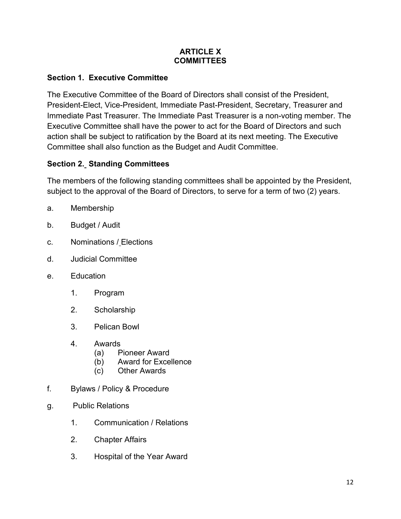#### **ARTICLE X COMMITTEES**

## **Section 1. Executive Committee**

The Executive Committee of the Board of Directors shall consist of the President, President-Elect, Vice-President, Immediate Past-President, Secretary, Treasurer and Immediate Past Treasurer. The Immediate Past Treasurer is a non-voting member. The Executive Committee shall have the power to act for the Board of Directors and such action shall be subject to ratification by the Board at its next meeting. The Executive Committee shall also function as the Budget and Audit Committee.

# **Section 2. Standing Committees**

The members of the following standing committees shall be appointed by the President, subject to the approval of the Board of Directors, to serve for a term of two (2) years.

- a. Membership
- b. Budget / Audit
- c. Nominations / Elections
- d. Judicial Committee
- e. Education
	- 1. Program
	- 2. Scholarship
	- 3. Pelican Bowl
	- 4. Awards
		- (a) Pioneer Award
		- (b) Award for Excellence
		- (c) Other Awards
- f. Bylaws / Policy & Procedure
- g. Public Relations
	- 1. Communication / Relations
	- 2. Chapter Affairs
	- 3. Hospital of the Year Award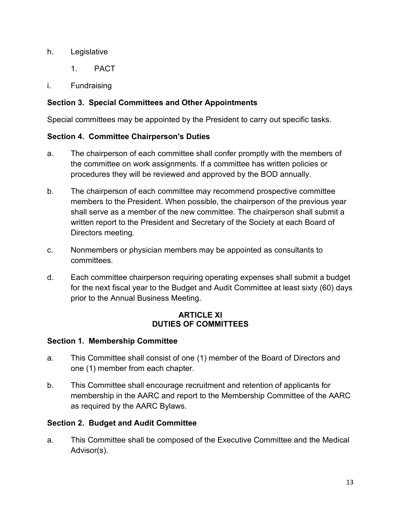### h. Legislative

- 1. PACT
- i. Fundraising

## **Section 3. Special Committees and Other Appointments**

Special committees may be appointed by the President to carry out specific tasks.

## **Section 4. Committee Chairperson's Duties**

- a. The chairperson of each committee shall confer promptly with the members of the committee on work assignments. If a committee has written policies or procedures they will be reviewed and approved by the BOD annually.
- b. The chairperson of each committee may recommend prospective committee members to the President. When possible, the chairperson of the previous year shall serve as a member of the new committee. The chairperson shall submit a written report to the President and Secretary of the Society at each Board of Directors meeting.
- c. Nonmembers or physician members may be appointed as consultants to committees.
- d. Each committee chairperson requiring operating expenses shall submit a budget for the next fiscal year to the Budget and Audit Committee at least sixty (60) days prior to the Annual Business Meeting.

### **ARTICLE XI DUTIES OF COMMITTEES**

## **Section 1. Membership Committee**

- a. This Committee shall consist of one (1) member of the Board of Directors and one (1) member from each chapter.
- b. This Committee shall encourage recruitment and retention of applicants for membership in the AARC and report to the Membership Committee of the AARC as required by the AARC Bylaws.

## **Section 2. Budget and Audit Committee**

a. This Committee shall be composed of the Executive Committee and the Medical Advisor(s).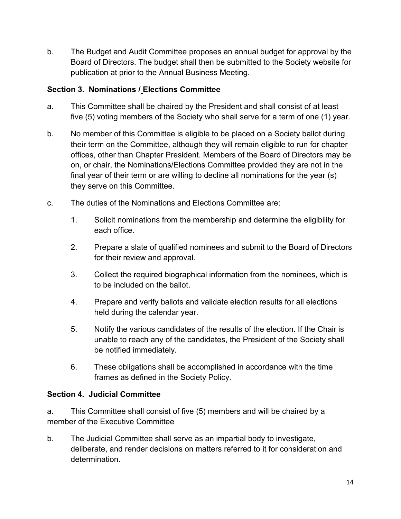b. The Budget and Audit Committee proposes an annual budget for approval by the Board of Directors. The budget shall then be submitted to the Society website for publication at prior to the Annual Business Meeting.

### **Section 3. Nominations / Elections Committee**

- a. This Committee shall be chaired by the President and shall consist of at least five (5) voting members of the Society who shall serve for a term of one (1) year.
- b. No member of this Committee is eligible to be placed on a Society ballot during their term on the Committee, although they will remain eligible to run for chapter offices, other than Chapter President. Members of the Board of Directors may be on, or chair, the Nominations/Elections Committee provided they are not in the final year of their term or are willing to decline all nominations for the year (s) they serve on this Committee.
- c. The duties of the Nominations and Elections Committee are:
	- 1. Solicit nominations from the membership and determine the eligibility for each office.
	- 2. Prepare a slate of qualified nominees and submit to the Board of Directors for their review and approval.
	- 3. Collect the required biographical information from the nominees, which is to be included on the ballot.
	- 4. Prepare and verify ballots and validate election results for all elections held during the calendar year.
	- 5. Notify the various candidates of the results of the election. If the Chair is unable to reach any of the candidates, the President of the Society shall be notified immediately.
	- 6. These obligations shall be accomplished in accordance with the time frames as defined in the Society Policy.

## **Section 4. Judicial Committee**

a. This Committee shall consist of five (5) members and will be chaired by a member of the Executive Committee

b. The Judicial Committee shall serve as an impartial body to investigate, deliberate, and render decisions on matters referred to it for consideration and determination.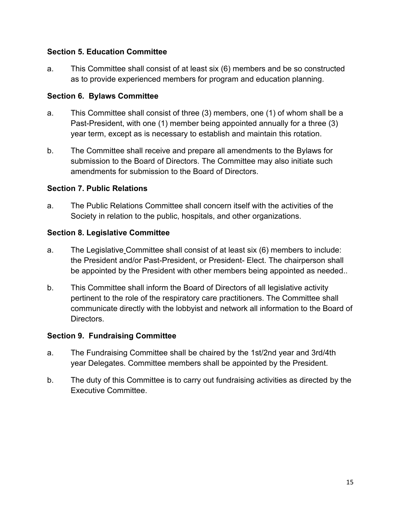### **Section 5. Education Committee**

a. This Committee shall consist of at least six (6) members and be so constructed as to provide experienced members for program and education planning.

#### **Section 6. Bylaws Committee**

- a. This Committee shall consist of three (3) members, one (1) of whom shall be a Past-President, with one (1) member being appointed annually for a three (3) year term, except as is necessary to establish and maintain this rotation.
- b. The Committee shall receive and prepare all amendments to the Bylaws for submission to the Board of Directors. The Committee may also initiate such amendments for submission to the Board of Directors.

#### **Section 7. Public Relations**

a. The Public Relations Committee shall concern itself with the activities of the Society in relation to the public, hospitals, and other organizations.

#### **Section 8. Legislative Committee**

- a. The Legislative Committee shall consist of at least six (6) members to include: the President and/or Past-President, or President- Elect. The chairperson shall be appointed by the President with other members being appointed as needed..
- b. This Committee shall inform the Board of Directors of all legislative activity pertinent to the role of the respiratory care practitioners. The Committee shall communicate directly with the lobbyist and network all information to the Board of **Directors**

#### **Section 9. Fundraising Committee**

- a. The Fundraising Committee shall be chaired by the 1st/2nd year and 3rd/4th year Delegates. Committee members shall be appointed by the President.
- b. The duty of this Committee is to carry out fundraising activities as directed by the Executive Committee.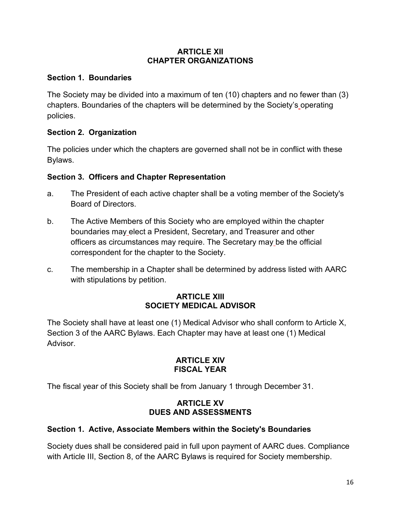#### **ARTICLE XII CHAPTER ORGANIZATIONS**

### **Section 1. Boundaries**

The Society may be divided into a maximum of ten (10) chapters and no fewer than (3) chapters. Boundaries of the chapters will be determined by the Society's operating policies.

### **Section 2. Organization**

The policies under which the chapters are governed shall not be in conflict with these Bylaws.

### **Section 3. Officers and Chapter Representation**

- a. The President of each active chapter shall be a voting member of the Society's Board of Directors.
- b. The Active Members of this Society who are employed within the chapter boundaries may elect a President, Secretary, and Treasurer and other officers as circumstances may require. The Secretary may be the official correspondent for the chapter to the Society.
- c. The membership in a Chapter shall be determined by address listed with AARC with stipulations by petition.

### **ARTICLE XIII SOCIETY MEDICAL ADVISOR**

The Society shall have at least one (1) Medical Advisor who shall conform to Article X, Section 3 of the AARC Bylaws. Each Chapter may have at least one (1) Medical Advisor.

### **ARTICLE XIV FISCAL YEAR**

The fiscal year of this Society shall be from January 1 through December 31.

### **ARTICLE XV DUES AND ASSESSMENTS**

## **Section 1. Active, Associate Members within the Society's Boundaries**

Society dues shall be considered paid in full upon payment of AARC dues. Compliance with Article III, Section 8, of the AARC Bylaws is required for Society membership.